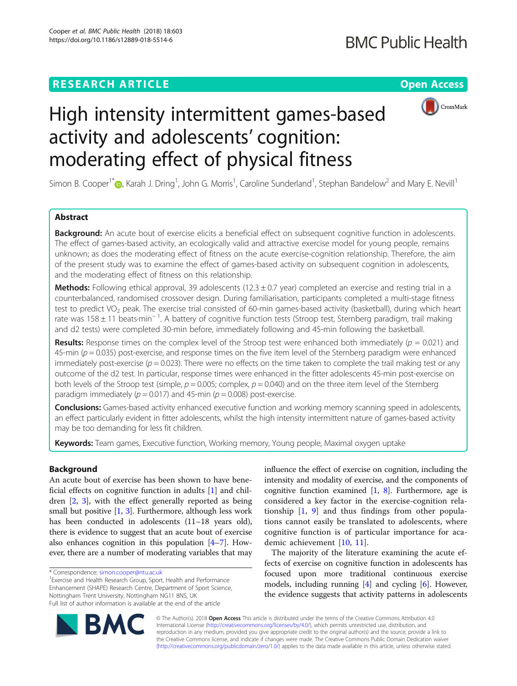## **RESEARCH ARTICLE Example 2018 12:30 THE Open Access**



# High intensity intermittent games-based activity and adolescents' cognition: moderating effect of physical fitness

Simon B. Cooper<sup>1\*</sup> $\bullet$ [,](http://orcid.org/0000-0001-5219-5020) Karah J. Dring<sup>1</sup>, John G. Morris<sup>1</sup>, Caroline Sunderland<sup>1</sup>, Stephan Bandelow<sup>2</sup> and Mary E. Nevill<sup>1</sup>

## Abstract

Background: An acute bout of exercise elicits a beneficial effect on subsequent cognitive function in adolescents. The effect of games-based activity, an ecologically valid and attractive exercise model for young people, remains unknown; as does the moderating effect of fitness on the acute exercise-cognition relationship. Therefore, the aim of the present study was to examine the effect of games-based activity on subsequent cognition in adolescents, and the moderating effect of fitness on this relationship.

Methods: Following ethical approval, 39 adolescents (12.3  $\pm$  0.7 year) completed an exercise and resting trial in a counterbalanced, randomised crossover design. During familiarisation, participants completed a multi-stage fitness test to predict VO<sub>2</sub> peak. The exercise trial consisted of 60-min games-based activity (basketball), during which heart rate was 158 ± 11 beats∙min<sup>−</sup> <sup>1</sup> . A battery of cognitive function tests (Stroop test, Sternberg paradigm, trail making and d2 tests) were completed 30-min before, immediately following and 45-min following the basketball.

**Results:** Response times on the complex level of the Stroop test were enhanced both immediately ( $p = 0.021$ ) and 45-min ( $p = 0.035$ ) post-exercise, and response times on the five item level of the Sternberg paradigm were enhanced immediately post-exercise ( $p = 0.023$ ). There were no effects on the time taken to complete the trail making test or any outcome of the d2 test. In particular, response times were enhanced in the fitter adolescents 45-min post-exercise on both levels of the Stroop test (simple,  $p = 0.005$ ; complex,  $p = 0.040$ ) and on the three item level of the Sternberg paradigm immediately ( $p = 0.017$ ) and 45-min ( $p = 0.008$ ) post-exercise.

Conclusions: Games-based activity enhanced executive function and working memory scanning speed in adolescents, an effect particularly evident in fitter adolescents, whilst the high intensity intermittent nature of games-based activity may be too demanding for less fit children.

Keywords: Team games, Executive function, Working memory, Young people, Maximal oxygen uptake

## Background

An acute bout of exercise has been shown to have beneficial effects on cognitive function in adults [\[1](#page-12-0)] and children [[2,](#page-12-0) [3](#page-12-0)], with the effect generally reported as being small but positive  $[1, 3]$  $[1, 3]$  $[1, 3]$  $[1, 3]$ . Furthermore, although less work has been conducted in adolescents (11-18 years old), there is evidence to suggest that an acute bout of exercise also enhances cognition in this population [[4](#page-12-0)–[7](#page-12-0)]. However, there are a number of moderating variables that may

<sup>1</sup> Exercise and Health Research Group, Sport, Health and Performance Enhancement (SHAPE) Research Centre, Department of Sport Science, Nottingham Trent University, Nottingham NG11 8NS, UK Full list of author information is available at the end of the article

influence the effect of exercise on cognition, including the intensity and modality of exercise, and the components of cognitive function examined  $[1, 8]$  $[1, 8]$  $[1, 8]$ . Furthermore, age is considered a key factor in the exercise-cognition relationship [[1,](#page-12-0) [9](#page-12-0)] and thus findings from other populations cannot easily be translated to adolescents, where cognitive function is of particular importance for academic achievement [\[10](#page-12-0), [11](#page-12-0)].

The majority of the literature examining the acute effects of exercise on cognitive function in adolescents has focused upon more traditional continuous exercise models, including running  $[4]$  $[4]$  and cycling  $[6]$ . However, the evidence suggests that activity patterns in adolescents



© The Author(s). 2018 Open Access This article is distributed under the terms of the Creative Commons Attribution 4.0 International License [\(http://creativecommons.org/licenses/by/4.0/](http://creativecommons.org/licenses/by/4.0/)), which permits unrestricted use, distribution, and reproduction in any medium, provided you give appropriate credit to the original author(s) and the source, provide a link to the Creative Commons license, and indicate if changes were made. The Creative Commons Public Domain Dedication waiver [\(http://creativecommons.org/publicdomain/zero/1.0/](http://creativecommons.org/publicdomain/zero/1.0/)) applies to the data made available in this article, unless otherwise stated.

<sup>\*</sup> Correspondence: [simon.cooper@ntu.ac.uk](mailto:simon.cooper@ntu.ac.uk) <sup>1</sup>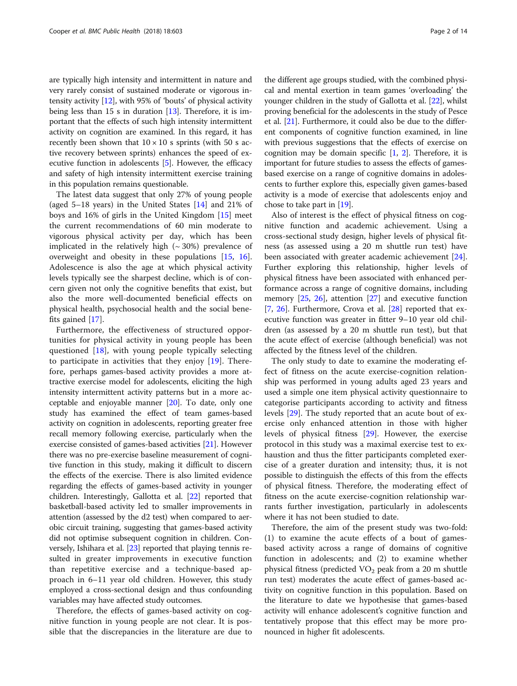are typically high intensity and intermittent in nature and very rarely consist of sustained moderate or vigorous intensity activity [[12\]](#page-12-0), with 95% of 'bouts' of physical activity being less than 15 s in duration  $[13]$ . Therefore, it is important that the effects of such high intensity intermittent activity on cognition are examined. In this regard, it has recently been shown that  $10 \times 10$  s sprints (with 50 s active recovery between sprints) enhances the speed of executive function in adolescents [[5\]](#page-12-0). However, the efficacy and safety of high intensity intermittent exercise training in this population remains questionable.

The latest data suggest that only 27% of young people (aged 5–18 years) in the United States [\[14](#page-12-0)] and 21% of boys and 16% of girls in the United Kingdom [[15\]](#page-12-0) meet the current recommendations of 60 min moderate to vigorous physical activity per day, which has been implicated in the relatively high  $({\sim}30\%)$  prevalence of overweight and obesity in these populations [[15,](#page-12-0) [16](#page-12-0)]. Adolescence is also the age at which physical activity levels typically see the sharpest decline, which is of concern given not only the cognitive benefits that exist, but also the more well-documented beneficial effects on physical health, psychosocial health and the social benefits gained [[17\]](#page-12-0).

Furthermore, the effectiveness of structured opportunities for physical activity in young people has been questioned [[18](#page-12-0)], with young people typically selecting to participate in activities that they enjoy [[19\]](#page-12-0). Therefore, perhaps games-based activity provides a more attractive exercise model for adolescents, eliciting the high intensity intermittent activity patterns but in a more acceptable and enjoyable manner [[20](#page-12-0)]. To date, only one study has examined the effect of team games-based activity on cognition in adolescents, reporting greater free recall memory following exercise, particularly when the exercise consisted of games-based activities [[21](#page-12-0)]. However there was no pre-exercise baseline measurement of cognitive function in this study, making it difficult to discern the effects of the exercise. There is also limited evidence regarding the effects of games-based activity in younger children. Interestingly, Gallotta et al. [\[22](#page-12-0)] reported that basketball-based activity led to smaller improvements in attention (assessed by the d2 test) when compared to aerobic circuit training, suggesting that games-based activity did not optimise subsequent cognition in children. Conversely, Ishihara et al. [\[23\]](#page-12-0) reported that playing tennis resulted in greater improvements in executive function than repetitive exercise and a technique-based approach in 6–11 year old children. However, this study employed a cross-sectional design and thus confounding variables may have affected study outcomes.

Therefore, the effects of games-based activity on cognitive function in young people are not clear. It is possible that the discrepancies in the literature are due to

the different age groups studied, with the combined physical and mental exertion in team games 'overloading' the younger children in the study of Gallotta et al. [\[22\]](#page-12-0), whilst proving beneficial for the adolescents in the study of Pesce et al. [\[21\]](#page-12-0). Furthermore, it could also be due to the different components of cognitive function examined, in line with previous suggestions that the effects of exercise on cognition may be domain specific  $[1, 2]$  $[1, 2]$  $[1, 2]$  $[1, 2]$ . Therefore, it is important for future studies to assess the effects of gamesbased exercise on a range of cognitive domains in adolescents to further explore this, especially given games-based activity is a mode of exercise that adolescents enjoy and chose to take part in [\[19\]](#page-12-0).

Also of interest is the effect of physical fitness on cognitive function and academic achievement. Using a cross-sectional study design, higher levels of physical fitness (as assessed using a 20 m shuttle run test) have been associated with greater academic achievement [\[24](#page-12-0)]. Further exploring this relationship, higher levels of physical fitness have been associated with enhanced performance across a range of cognitive domains, including memory [\[25,](#page-12-0) [26](#page-12-0)], attention [[27\]](#page-12-0) and executive function [[7,](#page-12-0) [26](#page-12-0)]. Furthermore, Crova et al. [[28\]](#page-12-0) reported that executive function was greater in fitter 9–10 year old children (as assessed by a 20 m shuttle run test), but that the acute effect of exercise (although beneficial) was not affected by the fitness level of the children.

The only study to date to examine the moderating effect of fitness on the acute exercise-cognition relationship was performed in young adults aged 23 years and used a simple one item physical activity questionnaire to categorise participants according to activity and fitness levels [[29](#page-12-0)]. The study reported that an acute bout of exercise only enhanced attention in those with higher levels of physical fitness [[29](#page-12-0)]. However, the exercise protocol in this study was a maximal exercise test to exhaustion and thus the fitter participants completed exercise of a greater duration and intensity; thus, it is not possible to distinguish the effects of this from the effects of physical fitness. Therefore, the moderating effect of fitness on the acute exercise-cognition relationship warrants further investigation, particularly in adolescents where it has not been studied to date.

Therefore, the aim of the present study was two-fold: (1) to examine the acute effects of a bout of gamesbased activity across a range of domains of cognitive function in adolescents; and (2) to examine whether physical fitness (predicted  $VO<sub>2</sub>$  peak from a 20 m shuttle run test) moderates the acute effect of games-based activity on cognitive function in this population. Based on the literature to date we hypothesise that games-based activity will enhance adolescent's cognitive function and tentatively propose that this effect may be more pronounced in higher fit adolescents.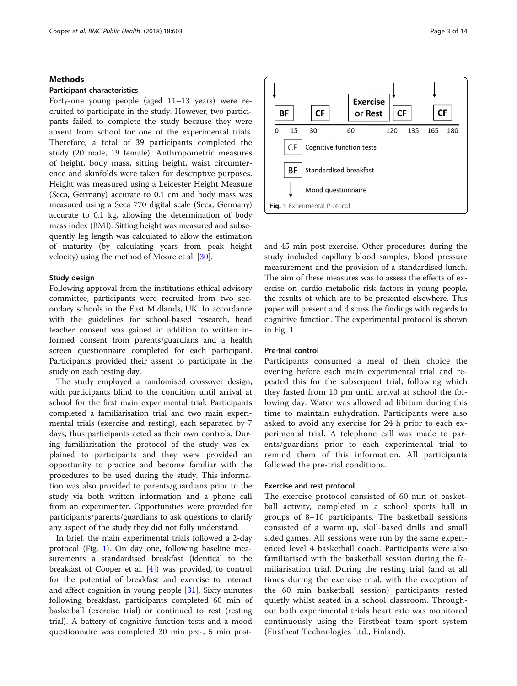## Methods

## Participant characteristics

Forty-one young people (aged 11–13 years) were recruited to participate in the study. However, two participants failed to complete the study because they were absent from school for one of the experimental trials. Therefore, a total of 39 participants completed the study (20 male, 19 female). Anthropometric measures of height, body mass, sitting height, waist circumference and skinfolds were taken for descriptive purposes. Height was measured using a Leicester Height Measure (Seca, Germany) accurate to 0.1 cm and body mass was measured using a Seca 770 digital scale (Seca, Germany) accurate to 0.1 kg, allowing the determination of body mass index (BMI). Sitting height was measured and subsequently leg length was calculated to allow the estimation of maturity (by calculating years from peak height velocity) using the method of Moore et al. [\[30\]](#page-12-0).

## Study design

Following approval from the institutions ethical advisory committee, participants were recruited from two secondary schools in the East Midlands, UK. In accordance with the guidelines for school-based research, head teacher consent was gained in addition to written informed consent from parents/guardians and a health screen questionnaire completed for each participant. Participants provided their assent to participate in the study on each testing day.

The study employed a randomised crossover design, with participants blind to the condition until arrival at school for the first main experimental trial. Participants completed a familiarisation trial and two main experimental trials (exercise and resting), each separated by 7 days, thus participants acted as their own controls. During familiarisation the protocol of the study was explained to participants and they were provided an opportunity to practice and become familiar with the procedures to be used during the study. This information was also provided to parents/guardians prior to the study via both written information and a phone call from an experimenter. Opportunities were provided for participants/parents/guardians to ask questions to clarify any aspect of the study they did not fully understand.

In brief, the main experimental trials followed a 2-day protocol (Fig. 1). On day one, following baseline measurements a standardised breakfast (identical to the breakfast of Cooper et al. [[4\]](#page-12-0)) was provided, to control for the potential of breakfast and exercise to interact and affect cognition in young people [[31\]](#page-12-0). Sixty minutes following breakfast, participants completed 60 min of basketball (exercise trial) or continued to rest (resting trial). A battery of cognitive function tests and a mood questionnaire was completed 30 min pre-, 5 min post-





and 45 min post-exercise. Other procedures during the study included capillary blood samples, blood pressure measurement and the provision of a standardised lunch. The aim of these measures was to assess the effects of exercise on cardio-metabolic risk factors in young people, the results of which are to be presented elsewhere. This paper will present and discuss the findings with regards to cognitive function. The experimental protocol is shown in Fig. 1.

## Pre-trial control

Participants consumed a meal of their choice the evening before each main experimental trial and repeated this for the subsequent trial, following which they fasted from 10 pm until arrival at school the following day. Water was allowed ad libitum during this time to maintain euhydration. Participants were also asked to avoid any exercise for 24 h prior to each experimental trial. A telephone call was made to parents/guardians prior to each experimental trial to remind them of this information. All participants followed the pre-trial conditions.

#### Exercise and rest protocol

The exercise protocol consisted of 60 min of basketball activity, completed in a school sports hall in groups of 8–10 participants. The basketball sessions consisted of a warm-up, skill-based drills and small sided games. All sessions were run by the same experienced level 4 basketball coach. Participants were also familiarised with the basketball session during the familiarisation trial. During the resting trial (and at all times during the exercise trial, with the exception of the 60 min basketball session) participants rested quietly whilst seated in a school classroom. Throughout both experimental trials heart rate was monitored continuously using the Firstbeat team sport system (Firstbeat Technologies Ltd., Finland).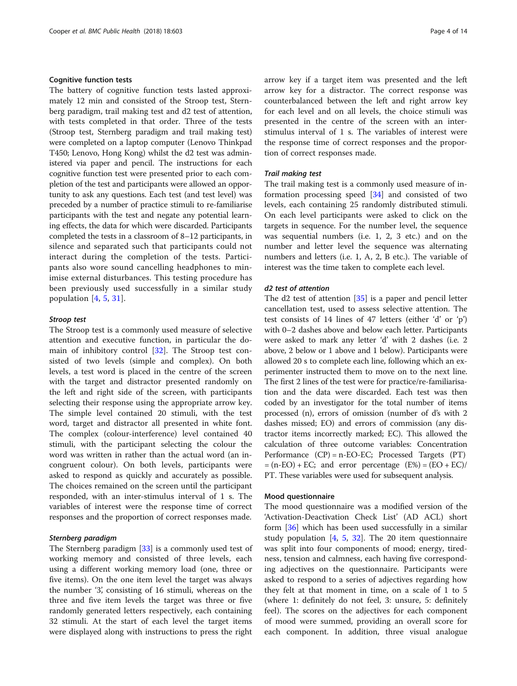## Cognitive function tests

The battery of cognitive function tests lasted approximately 12 min and consisted of the Stroop test, Sternberg paradigm, trail making test and d2 test of attention, with tests completed in that order. Three of the tests (Stroop test, Sternberg paradigm and trail making test) were completed on a laptop computer (Lenovo Thinkpad T450; Lenovo, Hong Kong) whilst the d2 test was administered via paper and pencil. The instructions for each cognitive function test were presented prior to each completion of the test and participants were allowed an opportunity to ask any questions. Each test (and test level) was preceded by a number of practice stimuli to re-familiarise participants with the test and negate any potential learning effects, the data for which were discarded. Participants completed the tests in a classroom of 8–12 participants, in silence and separated such that participants could not interact during the completion of the tests. Participants also wore sound cancelling headphones to minimise external disturbances. This testing procedure has been previously used successfully in a similar study population [[4,](#page-12-0) [5,](#page-12-0) [31](#page-12-0)].

#### Stroop test

The Stroop test is a commonly used measure of selective attention and executive function, in particular the domain of inhibitory control [\[32](#page-12-0)]. The Stroop test consisted of two levels (simple and complex). On both levels, a test word is placed in the centre of the screen with the target and distractor presented randomly on the left and right side of the screen, with participants selecting their response using the appropriate arrow key. The simple level contained 20 stimuli, with the test word, target and distractor all presented in white font. The complex (colour-interference) level contained 40 stimuli, with the participant selecting the colour the word was written in rather than the actual word (an incongruent colour). On both levels, participants were asked to respond as quickly and accurately as possible. The choices remained on the screen until the participant responded, with an inter-stimulus interval of 1 s. The variables of interest were the response time of correct responses and the proportion of correct responses made.

## Sternberg paradigm

The Sternberg paradigm [\[33](#page-12-0)] is a commonly used test of working memory and consisted of three levels, each using a different working memory load (one, three or five items). On the one item level the target was always the number '3', consisting of 16 stimuli, whereas on the three and five item levels the target was three or five randomly generated letters respectively, each containing 32 stimuli. At the start of each level the target items were displayed along with instructions to press the right

arrow key if a target item was presented and the left arrow key for a distractor. The correct response was counterbalanced between the left and right arrow key for each level and on all levels, the choice stimuli was presented in the centre of the screen with an interstimulus interval of 1 s. The variables of interest were the response time of correct responses and the proportion of correct responses made.

## Trail making test

The trail making test is a commonly used measure of information processing speed [[34](#page-12-0)] and consisted of two levels, each containing 25 randomly distributed stimuli. On each level participants were asked to click on the targets in sequence. For the number level, the sequence was sequential numbers (i.e. 1, 2, 3 etc.) and on the number and letter level the sequence was alternating numbers and letters (i.e. 1, A, 2, B etc.). The variable of interest was the time taken to complete each level.

## d2 test of attention

The d2 test of attention [[35](#page-12-0)] is a paper and pencil letter cancellation test, used to assess selective attention. The test consists of 14 lines of 47 letters (either 'd' or 'p') with 0–2 dashes above and below each letter. Participants were asked to mark any letter 'd' with 2 dashes (i.e. 2 above, 2 below or 1 above and 1 below). Participants were allowed 20 s to complete each line, following which an experimenter instructed them to move on to the next line. The first 2 lines of the test were for practice/re-familiarisation and the data were discarded. Each test was then coded by an investigator for the total number of items processed (n), errors of omission (number of d's with 2 dashes missed; EO) and errors of commission (any distractor items incorrectly marked; EC). This allowed the calculation of three outcome variables: Concentration Performance (CP) = n-EO-EC; Processed Targets (PT)  $=$  (n-EO) + EC; and error percentage  $(E%) = (EO + EC)/$ PT. These variables were used for subsequent analysis.

#### Mood questionnaire

The mood questionnaire was a modified version of the 'Activation-Deactivation Check List' (AD ACL) short form [[36](#page-12-0)] which has been used successfully in a similar study population [[4,](#page-12-0) [5](#page-12-0), [32\]](#page-12-0). The 20 item questionnaire was split into four components of mood; energy, tiredness, tension and calmness, each having five corresponding adjectives on the questionnaire. Participants were asked to respond to a series of adjectives regarding how they felt at that moment in time, on a scale of 1 to 5 (where 1: definitely do not feel, 3: unsure, 5: definitely feel). The scores on the adjectives for each component of mood were summed, providing an overall score for each component. In addition, three visual analogue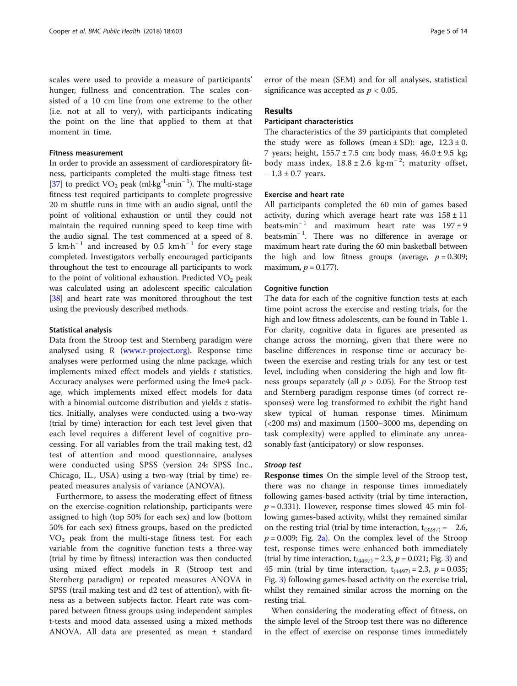scales were used to provide a measure of participants' hunger, fullness and concentration. The scales consisted of a 10 cm line from one extreme to the other (i.e. not at all to very), with participants indicating the point on the line that applied to them at that moment in time.

#### Fitness measurement

In order to provide an assessment of cardiorespiratory fitness, participants completed the multi-stage fitness test [[37](#page-12-0)] to predict VO<sub>2</sub> peak (ml⋅kg<sup>-1</sup>⋅min<sup>-1</sup>). The multi-stage fitness test required participants to complete progressive 20 m shuttle runs in time with an audio signal, until the point of volitional exhaustion or until they could not maintain the required running speed to keep time with the audio signal. The test commenced at a speed of 8. 5 km⋅h<sup>-1</sup> and increased by 0.5 km⋅h<sup>-1</sup> for every stage completed. Investigators verbally encouraged participants throughout the test to encourage all participants to work to the point of volitional exhaustion. Predicted  $VO<sub>2</sub>$  peak was calculated using an adolescent specific calculation [[38](#page-13-0)] and heart rate was monitored throughout the test using the previously described methods.

#### Statistical analysis

Data from the Stroop test and Sternberg paradigm were analysed using R ([www.r-project.org\)](http://www.r-project.org). Response time analyses were performed using the nlme package, which implements mixed effect models and yields  $t$  statistics. Accuracy analyses were performed using the lme4 package, which implements mixed effect models for data with a binomial outcome distribution and yields z statistics. Initially, analyses were conducted using a two-way (trial by time) interaction for each test level given that each level requires a different level of cognitive processing. For all variables from the trail making test, d2 test of attention and mood questionnaire, analyses were conducted using SPSS (version 24; SPSS Inc., Chicago, IL., USA) using a two-way (trial by time) repeated measures analysis of variance (ANOVA).

Furthermore, to assess the moderating effect of fitness on the exercise-cognition relationship, participants were assigned to high (top 50% for each sex) and low (bottom 50% for each sex) fitness groups, based on the predicted  $VO<sub>2</sub>$  peak from the multi-stage fitness test. For each variable from the cognitive function tests a three-way (trial by time by fitness) interaction was then conducted using mixed effect models in R (Stroop test and Sternberg paradigm) or repeated measures ANOVA in SPSS (trail making test and d2 test of attention), with fitness as a between subjects factor. Heart rate was compared between fitness groups using independent samples t-tests and mood data assessed using a mixed methods ANOVA. All data are presented as mean ± standard

error of the mean (SEM) and for all analyses, statistical significance was accepted as  $p < 0.05$ .

#### Results

## Participant characteristics

The characteristics of the 39 participants that completed the study were as follows (mean  $\pm$  SD): age,  $12.3 \pm 0$ . 7 years; height,  $155.7 \pm 7.5$  cm; body mass,  $46.0 \pm 9.5$  kg; body mass index,  $18.8 \pm 2.6$  kg⋅m<sup>-2</sup>; maturity offset, − 1.3 ± 0.7 years.

## Exercise and heart rate

All participants completed the 60 min of games based activity, during which average heart rate was  $158 \pm 11$ beats∙min<sup>-1</sup> and maximum heart rate was  $197 \pm 9$ beats∙min<sup>−</sup> <sup>1</sup> . There was no difference in average or maximum heart rate during the 60 min basketball between the high and low fitness groups (average,  $p = 0.309$ ; maximum,  $p = 0.177$ ).

## Cognitive function

The data for each of the cognitive function tests at each time point across the exercise and resting trials, for the high and low fitness adolescents, can be found in Table [1](#page-5-0). For clarity, cognitive data in figures are presented as change across the morning, given that there were no baseline differences in response time or accuracy between the exercise and resting trials for any test or test level, including when considering the high and low fitness groups separately (all  $p > 0.05$ ). For the Stroop test and Sternberg paradigm response times (of correct responses) were log transformed to exhibit the right hand skew typical of human response times. Minimum (<200 ms) and maximum (1500–3000 ms, depending on task complexity) were applied to eliminate any unreasonably fast (anticipatory) or slow responses.

#### Stroop test

Response times On the simple level of the Stroop test, there was no change in response times immediately following games-based activity (trial by time interaction,  $p = 0.331$ ). However, response times slowed 45 min following games-based activity, whilst they remained similar on the resting trial (trial by time interaction,  $t_{(3287)} = -2.6$ ,  $p = 0.009$ ; Fig. [2a\)](#page-7-0). On the complex level of the Stroop test, response times were enhanced both immediately (trial by time interaction,  $t_{(4497)} = 2.3$ ,  $p = 0.021$ ; Fig. [3\)](#page-7-0) and 45 min (trial by time interaction,  $t_{(4497)} = 2.3$ ,  $p = 0.035$ ; Fig. [3\)](#page-7-0) following games-based activity on the exercise trial, whilst they remained similar across the morning on the resting trial.

When considering the moderating effect of fitness, on the simple level of the Stroop test there was no difference in the effect of exercise on response times immediately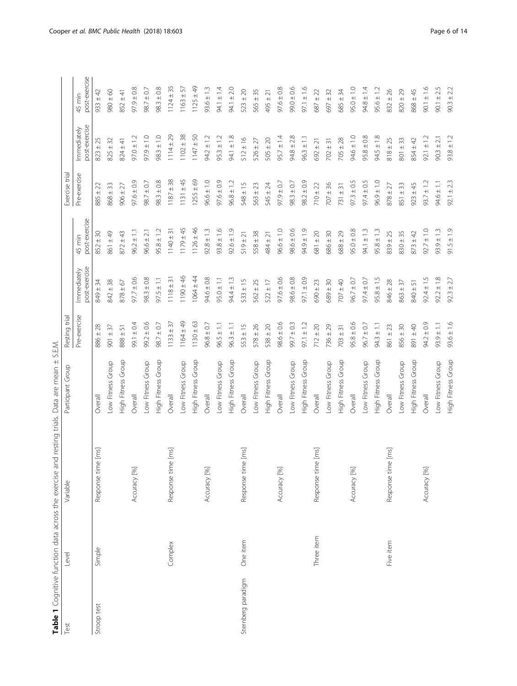<span id="page-5-0"></span>

|                    |            | Table 1 Cognitive function data across the exercise and resting trials. Data are mean ± S.E.M. |                    |                |                              |                         |                 |                              |                         |
|--------------------|------------|------------------------------------------------------------------------------------------------|--------------------|----------------|------------------------------|-------------------------|-----------------|------------------------------|-------------------------|
| Test               | Level      | Variable                                                                                       | Participant Group  | Resting trial  |                              |                         | Exercise trial  |                              |                         |
|                    |            |                                                                                                |                    | Pre-exercise   | post-exercise<br>Immediately | post-exercise<br>45 min | Pre-exercise    | post-exercise<br>Immediately | post-exercise<br>45 min |
| Stroop test        | Simple     | [ms]<br>Response time                                                                          | Overall            | $886 \pm 28$   | $849 \pm 34$                 | $852 \pm 30$            | $885 \pm 22$    | $823 \pm 25$                 | $933 \pm 42$            |
|                    |            |                                                                                                | Low Fitness Group  | $901 \pm 37$   | $842 \pm 38$                 | 861 ± 49                | $868 \pm 33$    | $825 \pm 32$                 | $0980 \pm 60$           |
|                    |            |                                                                                                | High Fitness Group | $888 \pm 51$   | $878 \pm 67$                 | $872 \pm 43$            | $906 \pm 27$    | $824 \pm 41$                 | $852 \pm 41$            |
|                    |            | Accuracy [%]                                                                                   | Overall            | $99.1 \pm 0.4$ | $97.7 \pm 0.6$               | $96.2 \pm 1.1$          | 6.07676         | $97.0 \pm 1.2$               | $97.9 \pm 0.8$          |
|                    |            |                                                                                                | Low Fitness Group  | $99.2 \pm 0.6$ | $98.3 \pm 0.8$               | $96.6 \pm 2.1$          | $98.7 \pm 0.7$  | $0.1 \pm 0.79$               | $98.7 \pm 0.7$          |
|                    |            |                                                                                                | High Fitness Group | $98.7 \pm 0.7$ | $97.5 \pm 1.1$               | $95.8 \pm 1.2$          | $98.3 \pm 0.8$  | $98.3 \pm 1.0$               | $98.3 \pm 0.8$          |
|                    | Complex    | $[\mathrm{rms}]$<br>Response time                                                              | Overall            | $1133 \pm 37$  | $1118 \pm 31$                | $1140 \pm 31$           | $1187 \pm 38$   | $1114 \pm 29$                | $1124 \pm 35$           |
|                    |            |                                                                                                | Low Fitness Group  | $1164 \pm 49$  | $1190 \pm 46$                | $1179 \pm 45$           | $1131 \pm 45$   | $1102 \pm 38$                | $1163 \pm 57$           |
|                    |            |                                                                                                | High Fitness Group | $1130 \pm 63$  | $1064 \pm 44$                | $1126 \pm 46$           | $1255 \pm 69$   | $1147 \pm 50$                | $1125 \pm 49$           |
|                    |            | Accuracy [%]                                                                                   | Overall            | $96.8 \pm 0.7$ | $94.6 \pm 0.8$               | $92.8 \pm 1.3$          | $96.6 \pm 1.0$  | $94.2 \pm 1.2$               | $93.6 \pm 1.3$          |
|                    |            |                                                                                                | Low Fitness Group  | $96.5 \pm 1.1$ | $95.0 \pm 1.1$               | $93.8 \pm 1.6$          | $97.6 \pm 0.9$  | $95.3 \pm 1.2$               | $94.1 \pm 1.4$          |
|                    |            |                                                                                                | High Fitness Group | $96.3 \pm 1.1$ | $94.4 \pm 1.3$               | $92.6 \pm 1.9$          | $96.8 \pm 1.2$  | $94.1 \pm 1.8$               | $94.1 \pm 2.0$          |
| Sternberg paradigm | One item   | [ms]<br>Response time                                                                          | Overall            | $553 \pm 15$   | $533 \pm 15$                 | $519 \pm 21$            | $548 \pm 15$    | $512 \pm 16$                 | $523 \pm 20$            |
|                    |            |                                                                                                | Low Fitness Group  | $578 \pm 26$   | $562 \pm 25$                 | $558 \pm 38$            | $563 \pm 23$    | $526 \pm 27$                 | $565 \pm 35$            |
|                    |            |                                                                                                | High Fitness Group | $538 \pm 20$   | $522 \pm 17$                 | $484 \pm 21$            | $545 \pm 24$    | $505 \pm 20$                 | $495 \pm 21$            |
|                    |            | Accuracy [%]                                                                                   | Overall            | $98.6 \pm 0.6$ | $-97.6 \pm 0.6$              | $96.6 \pm 1.0$          | $97.9 \pm 0.7$  | $95.7 \pm 1.4$               | $97.6 \pm 0.8$          |
|                    |            |                                                                                                | Low Fitness Group  | $99.7 \pm 0.3$ | $98.6 \pm 0.8$               | $98.6 \pm 0.6$          | $98.3 \pm 0.7$  | $94.8 \pm 2.8$               | 0.0406                  |
|                    |            |                                                                                                | High Fitness Group | $97.1 \pm 1.2$ | $97.1 \pm 0.9$               | $6.1 \pm 0.9$           | $98.2 \pm 0.9$  | $96.3 \pm 1.1$               | $97.1 \pm 1.6$          |
|                    | Three item | $[\mathsf{m}\mathsf{s}]$<br>Response time                                                      | Overall            | $712 \pm 20$   | $690 \pm 23$                 | $681 \pm 20$            | $710 \pm 22$    | $692 \pm 21$                 | $587 \pm 22$            |
|                    |            |                                                                                                | Low Fitness Group  | $736 \pm 29$   | $689 \pm 30$                 | $686 \pm 30$            | $707 \pm 36$    | $702 \pm 31$                 | $697 \pm 32$            |
|                    |            |                                                                                                | High Fitness Group | $703 \pm 31$   | $707 \pm 40$                 | $688 \pm 29$            | $731 \pm 31$    | $705 \pm 28$                 | $685 \pm 34$            |
|                    |            | Accuracy [%]                                                                                   | Overall            | $95.8 \pm 0.6$ | $96.7 \pm 0.7$               | $95.0 \pm 0.8$          | $97.3 \pm 0.5$  | $94.6 \pm 1.0$               | $95.0 \pm 1.0$          |
|                    |            |                                                                                                | Low Fitness Group  | $96.7 \pm 0.7$ | $97.4 \pm 0.7$               | $94.1 \pm 1.3$          | $97.4 \pm 0.5$  | $95.8 \pm 0.8$               | $94.8 \pm 1.4$          |
|                    |            |                                                                                                | High Fitness Group | $94.3 \pm 1.1$ | $95.8 \pm 1.5$               | $95.8 \pm 1.3$          | $0.1 \pm 0.96$  | $94.5 \pm 1.8$               | $95.6 \pm 1.2$          |
|                    | Five item  | $[\mathrm{rms}]$<br>Response time                                                              | Overall            | $861 \pm 23$   | $846 \pm 28$                 | $839 \pm 25$            | $878 \pm 27$    | $818 \pm 25$                 | $832 \pm 26$            |
|                    |            |                                                                                                | Low Fitness Group  | $856 \pm 30$   | $863 \pm 37$                 | $830 + 35$              | $851 \pm 33$    | $801 \pm 33$                 | $820 \pm 29$            |
|                    |            |                                                                                                | High Fitness Group | $0 + 40$       | $840 \pm 51$                 | $873 \pm 42$            | $923 \pm 45$    | $854 \pm 42$                 | $868 \pm 45$            |
|                    |            | Accuracy [%]                                                                                   | Overall            | $94.2 \pm 0.9$ | $92.4 \pm 1.5$               | $92.7 \pm 1.0$          | $93.7 \pm 1.2$  | $92.1 \pm 1.2$               | $90.1 \pm 1.6$          |
|                    |            |                                                                                                | Low Fitness Group  | $93.9 \pm 1.1$ | $92.2 \pm 1.8$               | $93.9 \pm 1.3$          | $1.1 + 6 + 1.1$ | $90.3 \pm 2.1$               | $90.1 \pm 2.5$          |
|                    |            |                                                                                                | High Fitness Group | $93.6 \pm 1.6$ | $92.3 \pm 2.7$               | $91.5 \pm 1.9$          | $92.1 \pm 2.3$  | $93.8 \pm 1.2$               | $90.3 \pm 2.2$          |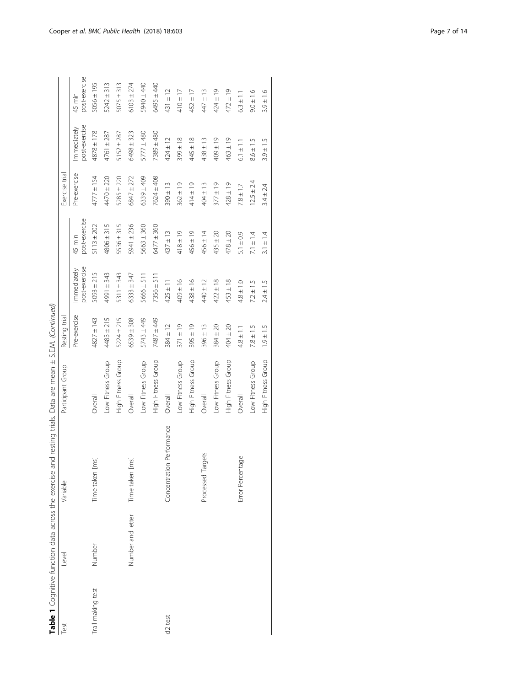| ١                             |
|-------------------------------|
| ١                             |
|                               |
|                               |
| $\left(\right)$               |
| ļ                             |
|                               |
|                               |
|                               |
| j<br>)                        |
|                               |
| I                             |
| ļ                             |
| 5)<br>i<br>ì                  |
|                               |
|                               |
| .<br>.<br>.<br>J              |
| 5<br>i<br>C                   |
|                               |
|                               |
| )<br>)<br>)<br>I              |
|                               |
| i                             |
| I<br>ׇ֚֬֓֡֡                   |
|                               |
|                               |
| ת<br>l                        |
|                               |
| í<br>j<br>ţ                   |
| ì                             |
| Ī                             |
| )<br>5<br>5<br>j              |
| こくこく                          |
|                               |
| í<br>İ                        |
|                               |
| :<br>$\mathbf{r}$             |
| Ì<br>Ï                        |
| $\frac{1}{2}$                 |
| i                             |
| ï                             |
| )<br>)<br>i                   |
|                               |
| .<br>J                        |
| i<br>Si<br>j                  |
| S                             |
| j                             |
| l                             |
| İ                             |
| $\overline{\phantom{a}}$<br>I |
|                               |
|                               |
|                               |
|                               |
| $\frac{1}{2}$                 |
|                               |
|                               |
| $\mathbf{r}$                  |
| $\overline{\phantom{a}}$      |
|                               |
| ŧ                             |
| able 1 <b>Codr</b>            |
|                               |
|                               |
| ŕ                             |
|                               |

| <b>Test</b>         | Level             | Variable                  | Participant Group  | Resting trial  |                              |                         | Exercise trial |                              |                         |
|---------------------|-------------------|---------------------------|--------------------|----------------|------------------------------|-------------------------|----------------|------------------------------|-------------------------|
|                     |                   |                           |                    | Pre-exercise   | post-exercise<br>Immediately | post-exercise<br>45 min | Pre-exercise   | post-exercise<br>Immediately | post-exercise<br>45 min |
| Trail making test   | Number            | [su<br>Time taken         | Overall            | 4827 ± 143     | $5093 \pm 215$               | $5113 \pm 202$          | $4777 \pm 154$ | $4878 \pm 178$               | $5056 \pm 195$          |
|                     |                   |                           | Low Fitness Group  | $4483 \pm 215$ | 4991 ± 343                   | $4806 \pm 315$          | $4470 \pm 220$ | $4761 \pm 287$               | $5242 \pm 313$          |
|                     |                   |                           | High Fitness Group | $5224 \pm 215$ | 5311 ± 343                   | $5536 \pm 315$          | $5285 \pm 220$ | $5152 \pm 287$               | $5075 \pm 313$          |
|                     | Number and letter | Time taken [ms]           | Overall            | $6539 \pm 308$ | $6333 \pm 347$               | 5941 ± 236              | 6847 ± 272     | $6498 \pm 323$               | $6103 \pm 274$          |
|                     |                   |                           | Low Fitness Group  | $5743 \pm 449$ | $5666 \pm 511$               | $5663 \pm 360$          | 6339 ± 409     | $5777 \pm 480$               | 5940 ± 440              |
|                     |                   |                           | High Fitness Group | 487 ± 449      | $7356 \pm 511$               | 6477 ± 360              | $7624 \pm 408$ | 7389 ± 480                   | 6495 ± 440              |
| d <sub>2</sub> test |                   | Concentration Performance | Overall            | $384 \pm 12$   | $425 \pm 11$                 | $437 \pm 13$            | $390 \pm 13$   | $424 \pm 12$                 | 431 ± 12                |
|                     |                   |                           | Low Fitness Group  | $371 \pm 19$   | $409 \pm 16$                 | $418 \pm 19$            | $362 \pm 19$   | $399 \pm 18$                 | $410 \pm 17$            |
|                     |                   |                           | High Fitness Group | $395 \pm 19$   | $438 \pm 16$                 | $456 \pm 19$            | 414±19         | $445 \pm 18$                 | $452 \pm 17$            |
|                     |                   | Processed Targets         | Overall            | $396 \pm 13$   | $440 \pm 12$                 | $456 \pm 14$            | $404 \pm 13$   | $438 \pm 13$                 | $447 \pm 13$            |
|                     |                   |                           | Low Fitness Group  | $384 \pm 20$   | $422 \pm 18$                 | $435 \pm 20$            | $377 \pm 19$   | $409 \pm 19$                 | $424 \pm 19$            |
|                     |                   |                           | High Fitness Group | $404 \pm 20$   | $453 \pm 18$                 | $478 \pm 20$            | $428 \pm 19$   | $463 \pm 19$                 | $472 \pm 19$            |
|                     |                   | Error Percentage          | Overall            | $4.8 \pm 1.1$  | $4.8 \pm 1.0$                | $5.1 \pm 0.9$           | $7.8 \pm 1.7$  | $6.1 \pm 1.1$                | $6.3 \pm 1.1$           |
|                     |                   |                           | Low Fitness Group  | $7.8 \pm 1.5$  | $7.2 \pm 1.5$                | $7.1 \pm 1.4$           | $12.5 \pm 2.4$ | $8.6 \pm 1.5$                | $9.0 \pm 1.6$           |
|                     |                   |                           | High Fitness Group | $1.9 + 1.5$    | $2.4 \pm 1.5$                | $3.1 \pm 1.4$           | $3.4 \pm 2.4$  | $3.9 \pm 1.5$                | $3.9 \pm 1.6$           |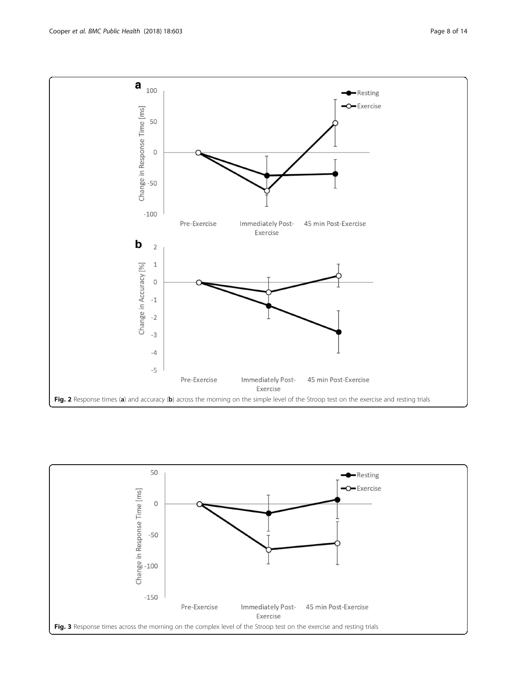<span id="page-7-0"></span>

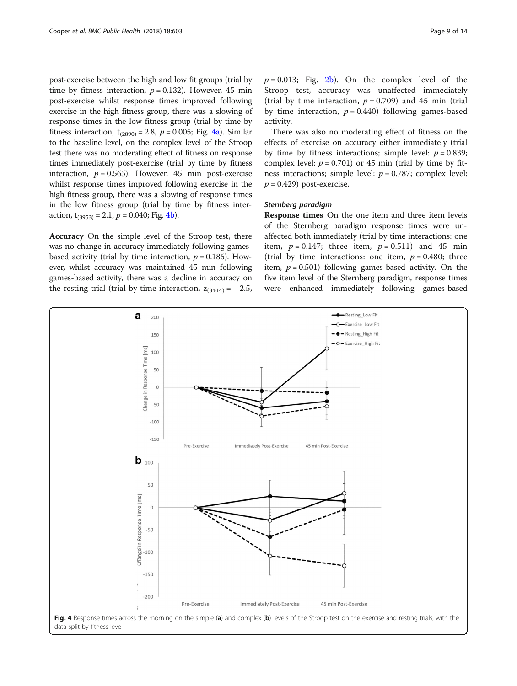post-exercise between the high and low fit groups (trial by time by fitness interaction,  $p = 0.132$ ). However, 45 min post-exercise whilst response times improved following exercise in the high fitness group, there was a slowing of response times in the low fitness group (trial by time by fitness interaction,  $t_{(2890)} = 2.8$ ,  $p = 0.005$ ; Fig. 4a). Similar to the baseline level, on the complex level of the Stroop test there was no moderating effect of fitness on response times immediately post-exercise (trial by time by fitness interaction,  $p = 0.565$ . However, 45 min post-exercise whilst response times improved following exercise in the high fitness group, there was a slowing of response times in the low fitness group (trial by time by fitness interaction,  $t_{(3953)} = 2.1$ ,  $p = 0.040$ ; Fig. 4b).

Accuracy On the simple level of the Stroop test, there was no change in accuracy immediately following gamesbased activity (trial by time interaction,  $p = 0.186$ ). However, whilst accuracy was maintained 45 min following games-based activity, there was a decline in accuracy on the resting trial (trial by time interaction,  $z_{(3414)} = -2.5$ ,  $p = 0.013$ ; Fig. [2b\)](#page-7-0). On the complex level of the Stroop test, accuracy was unaffected immediately (trial by time interaction,  $p = 0.709$ ) and 45 min (trial by time interaction,  $p = 0.440$ ) following games-based activity.

There was also no moderating effect of fitness on the effects of exercise on accuracy either immediately (trial by time by fitness interactions; simple level:  $p = 0.839$ ; complex level:  $p = 0.701$ ) or 45 min (trial by time by fitness interactions; simple level:  $p = 0.787$ ; complex level:  $p = 0.429$ ) post-exercise.

## Sternberg paradigm

Response times On the one item and three item levels of the Sternberg paradigm response times were unaffected both immediately (trial by time interactions: one item,  $p = 0.147$ ; three item,  $p = 0.511$ ) and 45 min (trial by time interactions: one item,  $p = 0.480$ ; three item,  $p = 0.501$ ) following games-based activity. On the five item level of the Sternberg paradigm, response times were enhanced immediately following games-based

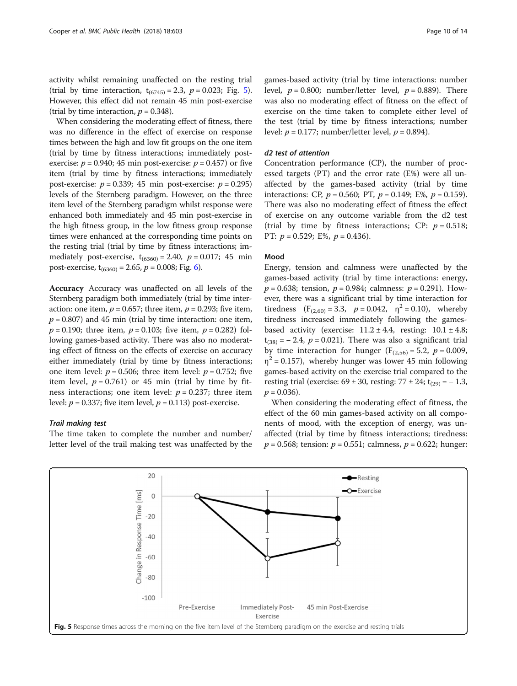activity whilst remaining unaffected on the resting trial (trial by time interaction,  $t_{(6745)} = 2.3$ ,  $p = 0.023$ ; Fig. 5). However, this effect did not remain 45 min post-exercise (trial by time interaction,  $p = 0.348$ ).

When considering the moderating effect of fitness, there was no difference in the effect of exercise on response times between the high and low fit groups on the one item (trial by time by fitness interactions; immediately postexercise:  $p = 0.940$ ; 45 min post-exercise:  $p = 0.457$ ) or five item (trial by time by fitness interactions; immediately post-exercise:  $p = 0.339$ ; 45 min post-exercise:  $p = 0.295$ ) levels of the Sternberg paradigm. However, on the three item level of the Sternberg paradigm whilst response were enhanced both immediately and 45 min post-exercise in the high fitness group, in the low fitness group response times were enhanced at the corresponding time points on the resting trial (trial by time by fitness interactions; immediately post-exercise,  $t_{(6360)} = 2.40$ ,  $p = 0.017$ ; 45 min post-exercise,  $t_{(6360)} = 2.65$  $t_{(6360)} = 2.65$  $t_{(6360)} = 2.65$ ,  $p = 0.008$ ; Fig. 6).

Accuracy Accuracy was unaffected on all levels of the Sternberg paradigm both immediately (trial by time interaction: one item,  $p = 0.657$ ; three item,  $p = 0.293$ ; five item,  $p = 0.807$ ) and 45 min (trial by time interaction: one item,  $p = 0.190$ ; three item,  $p = 0.103$ ; five item,  $p = 0.282$ ) following games-based activity. There was also no moderating effect of fitness on the effects of exercise on accuracy either immediately (trial by time by fitness interactions; one item level:  $p = 0.506$ ; three item level:  $p = 0.752$ ; five item level,  $p = 0.761$ ) or 45 min (trial by time by fitness interactions; one item level:  $p = 0.237$ ; three item level:  $p = 0.337$ ; five item level,  $p = 0.113$ ) post-exercise.

## Trail making test

The time taken to complete the number and number/ letter level of the trail making test was unaffected by the

games-based activity (trial by time interactions: number level,  $p = 0.800$ ; number/letter level,  $p = 0.889$ ). There was also no moderating effect of fitness on the effect of exercise on the time taken to complete either level of the test (trial by time by fitness interactions; number level:  $p = 0.177$ ; number/letter level,  $p = 0.894$ ).

#### d2 test of attention

Concentration performance (CP), the number of processed targets (PT) and the error rate (E%) were all unaffected by the games-based activity (trial by time interactions: CP,  $p = 0.560$ ; PT,  $p = 0.149$ ; E%,  $p = 0.159$ ). There was also no moderating effect of fitness the effect of exercise on any outcome variable from the d2 test (trial by time by fitness interactions; CP:  $p = 0.518$ ; PT:  $p = 0.529$ ; E%,  $p = 0.436$ ).

#### Mood

Energy, tension and calmness were unaffected by the games-based activity (trial by time interactions: energy,  $p = 0.638$ ; tension,  $p = 0.984$ ; calmness:  $p = 0.291$ ). However, there was a significant trial by time interaction for tiredness  $(F_{(2,60)} = 3.3, p = 0.042, \eta^2 = 0.10)$ , whereby tiredness increased immediately following the gamesbased activity (exercise:  $11.2 \pm 4.4$ , resting:  $10.1 \pm 4.8$ ;  $t<sub>(38)</sub> = -2.4, p = 0.021$ . There was also a significant trial by time interaction for hunger ( $F_{(2,56)} = 5.2$ ,  $p = 0.009$ ,  $\eta^2$  = 0.157), whereby hunger was lower 45 min following games-based activity on the exercise trial compared to the resting trial (exercise:  $69 \pm 30$ , resting:  $77 \pm 24$ ; t<sub>(29)</sub> = − 1.3,  $p = 0.036$ .

When considering the moderating effect of fitness, the effect of the 60 min games-based activity on all components of mood, with the exception of energy, was unaffected (trial by time by fitness interactions; tiredness:  $p = 0.568$ ; tension:  $p = 0.551$ ; calmness,  $p = 0.622$ ; hunger:

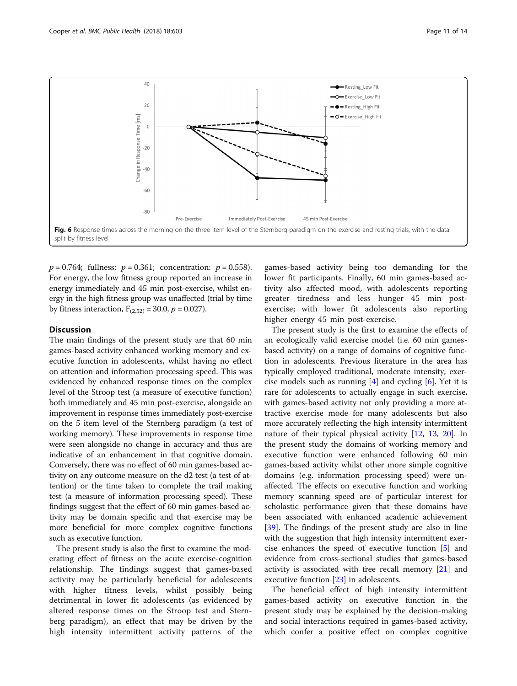<span id="page-10-0"></span>

 $p = 0.764$ ; fullness:  $p = 0.361$ ; concentration:  $p = 0.558$ ). For energy, the low fitness group reported an increase in energy immediately and 45 min post-exercise, whilst energy in the high fitness group was unaffected (trial by time by fitness interaction,  $F_{(2,52)} = 30.0, p = 0.027$ .

## **Discussion**

The main findings of the present study are that 60 min games-based activity enhanced working memory and executive function in adolescents, whilst having no effect on attention and information processing speed. This was evidenced by enhanced response times on the complex level of the Stroop test (a measure of executive function) both immediately and 45 min post-exercise, alongside an improvement in response times immediately post-exercise on the 5 item level of the Sternberg paradigm (a test of working memory). These improvements in response time were seen alongside no change in accuracy and thus are indicative of an enhancement in that cognitive domain. Conversely, there was no effect of 60 min games-based activity on any outcome measure on the d2 test (a test of attention) or the time taken to complete the trail making test (a measure of information processing speed). These findings suggest that the effect of 60 min games-based activity may be domain specific and that exercise may be more beneficial for more complex cognitive functions such as executive function.

The present study is also the first to examine the moderating effect of fitness on the acute exercise-cognition relationship. The findings suggest that games-based activity may be particularly beneficial for adolescents with higher fitness levels, whilst possibly being detrimental in lower fit adolescents (as evidenced by altered response times on the Stroop test and Sternberg paradigm), an effect that may be driven by the high intensity intermittent activity patterns of the

games-based activity being too demanding for the lower fit participants. Finally, 60 min games-based activity also affected mood, with adolescents reporting greater tiredness and less hunger 45 min postexercise; with lower fit adolescents also reporting higher energy 45 min post-exercise.

The present study is the first to examine the effects of an ecologically valid exercise model (i.e. 60 min gamesbased activity) on a range of domains of cognitive function in adolescents. Previous literature in the area has typically employed traditional, moderate intensity, exercise models such as running  $[4]$  $[4]$  and cycling  $[6]$  $[6]$ . Yet it is rare for adolescents to actually engage in such exercise, with games-based activity not only providing a more attractive exercise mode for many adolescents but also more accurately reflecting the high intensity intermittent nature of their typical physical activity [\[12,](#page-12-0) [13](#page-12-0), [20\]](#page-12-0). In the present study the domains of working memory and executive function were enhanced following 60 min games-based activity whilst other more simple cognitive domains (e.g. information processing speed) were unaffected. The effects on executive function and working memory scanning speed are of particular interest for scholastic performance given that these domains have been associated with enhanced academic achievement [[39\]](#page-13-0). The findings of the present study are also in line with the suggestion that high intensity intermittent exercise enhances the speed of executive function [[5\]](#page-12-0) and evidence from cross-sectional studies that games-based activity is associated with free recall memory [[21\]](#page-12-0) and executive function [\[23\]](#page-12-0) in adolescents.

The beneficial effect of high intensity intermittent games-based activity on executive function in the present study may be explained by the decision-making and social interactions required in games-based activity, which confer a positive effect on complex cognitive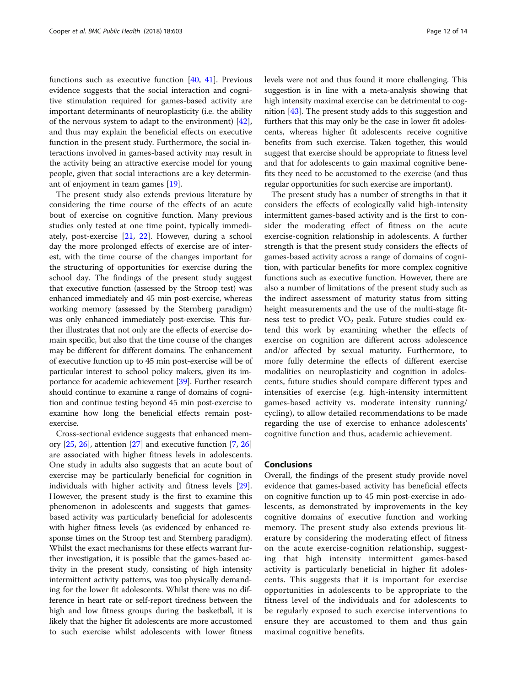functions such as executive function [[40](#page-13-0), [41\]](#page-13-0). Previous evidence suggests that the social interaction and cognitive stimulation required for games-based activity are important determinants of neuroplasticity (i.e. the ability of the nervous system to adapt to the environment) [\[42](#page-13-0)], and thus may explain the beneficial effects on executive function in the present study. Furthermore, the social interactions involved in games-based activity may result in the activity being an attractive exercise model for young people, given that social interactions are a key determinant of enjoyment in team games [\[19\]](#page-12-0).

The present study also extends previous literature by considering the time course of the effects of an acute bout of exercise on cognitive function. Many previous studies only tested at one time point, typically immediately, post-exercise [[21](#page-12-0), [22](#page-12-0)]. However, during a school day the more prolonged effects of exercise are of interest, with the time course of the changes important for the structuring of opportunities for exercise during the school day. The findings of the present study suggest that executive function (assessed by the Stroop test) was enhanced immediately and 45 min post-exercise, whereas working memory (assessed by the Sternberg paradigm) was only enhanced immediately post-exercise. This further illustrates that not only are the effects of exercise domain specific, but also that the time course of the changes may be different for different domains. The enhancement of executive function up to 45 min post-exercise will be of particular interest to school policy makers, given its importance for academic achievement [\[39\]](#page-13-0). Further research should continue to examine a range of domains of cognition and continue testing beyond 45 min post-exercise to examine how long the beneficial effects remain postexercise.

Cross-sectional evidence suggests that enhanced memory [\[25,](#page-12-0) [26\]](#page-12-0), attention [\[27\]](#page-12-0) and executive function [[7](#page-12-0), [26](#page-12-0)] are associated with higher fitness levels in adolescents. One study in adults also suggests that an acute bout of exercise may be particularly beneficial for cognition in individuals with higher activity and fitness levels [\[29](#page-12-0)]. However, the present study is the first to examine this phenomenon in adolescents and suggests that gamesbased activity was particularly beneficial for adolescents with higher fitness levels (as evidenced by enhanced response times on the Stroop test and Sternberg paradigm). Whilst the exact mechanisms for these effects warrant further investigation, it is possible that the games-based activity in the present study, consisting of high intensity intermittent activity patterns, was too physically demanding for the lower fit adolescents. Whilst there was no difference in heart rate or self-report tiredness between the high and low fitness groups during the basketball, it is likely that the higher fit adolescents are more accustomed to such exercise whilst adolescents with lower fitness levels were not and thus found it more challenging. This suggestion is in line with a meta-analysis showing that high intensity maximal exercise can be detrimental to cognition [[43](#page-13-0)]. The present study adds to this suggestion and furthers that this may only be the case in lower fit adolescents, whereas higher fit adolescents receive cognitive benefits from such exercise. Taken together, this would suggest that exercise should be appropriate to fitness level and that for adolescents to gain maximal cognitive benefits they need to be accustomed to the exercise (and thus regular opportunities for such exercise are important).

The present study has a number of strengths in that it considers the effects of ecologically valid high-intensity intermittent games-based activity and is the first to consider the moderating effect of fitness on the acute exercise-cognition relationship in adolescents. A further strength is that the present study considers the effects of games-based activity across a range of domains of cognition, with particular benefits for more complex cognitive functions such as executive function. However, there are also a number of limitations of the present study such as the indirect assessment of maturity status from sitting height measurements and the use of the multi-stage fitness test to predict  $VO<sub>2</sub>$  peak. Future studies could extend this work by examining whether the effects of exercise on cognition are different across adolescence and/or affected by sexual maturity. Furthermore, to more fully determine the effects of different exercise modalities on neuroplasticity and cognition in adolescents, future studies should compare different types and intensities of exercise (e.g. high-intensity intermittent games-based activity vs. moderate intensity running/ cycling), to allow detailed recommendations to be made regarding the use of exercise to enhance adolescents' cognitive function and thus, academic achievement.

## Conclusions

Overall, the findings of the present study provide novel evidence that games-based activity has beneficial effects on cognitive function up to 45 min post-exercise in adolescents, as demonstrated by improvements in the key cognitive domains of executive function and working memory. The present study also extends previous literature by considering the moderating effect of fitness on the acute exercise-cognition relationship, suggesting that high intensity intermittent games-based activity is particularly beneficial in higher fit adolescents. This suggests that it is important for exercise opportunities in adolescents to be appropriate to the fitness level of the individuals and for adolescents to be regularly exposed to such exercise interventions to ensure they are accustomed to them and thus gain maximal cognitive benefits.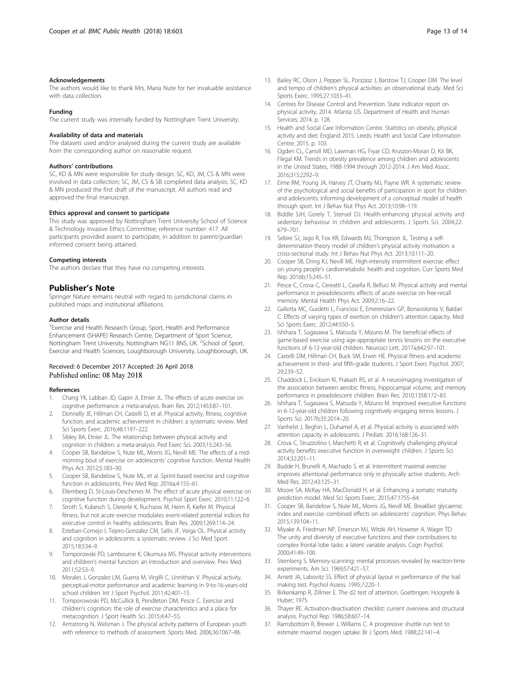#### <span id="page-12-0"></span>Acknowledgements

The authors would like to thank Mrs. Maria Nute for her invaluable assistance with data collection.

#### Funding

The current study was internally funded by Nottingham Trent University.

#### Availability of data and materials

The datasets used and/or analysed during the current study are available from the corresponding author on reasonable request.

#### Authors' contributions

SC, KD & MN were responsible for study design; SC, KD, JM, CS & MN were involved in data collection; SC, JM, CS & SB completed data analysis; SC, KD & MN produced the first draft of the manuscript. All authors read and approved the final manuscript.

#### Ethics approval and consent to participate

This study was approved by Nottingham Trent University School of Science & Technology Invasive Ethics Committee; reference number: 417. All participants provided assent to participate, in addition to parent/guardian informed consent being attained.

#### Competing interests

The authors declare that they have no competing interests.

#### Publisher's Note

Springer Nature remains neutral with regard to jurisdictional claims in published maps and institutional affiliations.

#### Author details

<sup>1</sup> Exercise and Health Research Group, Sport, Health and Performance Enhancement (SHAPE) Research Centre, Department of Sport Science, Nottingham Trent University, Nottingham NG11 8NS, UK. <sup>2</sup>School of Sport, Exercise and Health Sciences, Loughborough University, Loughborough, UK.

#### Received: 6 December 2017 Accepted: 26 April 2018 Published online: 08 May 2018

#### References

- 1. Chang YK, Labban JD, Gapin JI, Etnier JL. The effects of acute exercise on cognitive performance: a meta-analysis. Brain Res. 2012;1453:87–101.
- 2. Donnelly JE, Hillman CH, Castelli D, et al. Physical activity, fitness, cognitive function, and academic achievement in children: a systematic review. Med Sci Sports Exerc. 2016;48:1197–222.
- 3. Sibley BA, Etnier JL. The relationship between physical activity and cognition in children: a meta-analysis. Ped Exerc Sci. 2003;15:243–56.
- 4. Cooper SB, Bandelow S, Nute ML, Morris JG, Nevill ME. The effects of a midmorning bout of exercise on adolescents' cognitive function. Mental Health Phys Act. 2012;5:183–90.
- 5. Cooper SB, Bandelow S, Nute ML, et al. Sprint-based exercise and cognitive function in adolescents. Prev Med Rep. 2016a;4:155–61.
- 6. Ellemberg D, St-Louis-Deschenes M. The effect of acute physical exercise on cognitive function during development. Psychol Sport Exerc. 2010;11:122–6.
- 7. Stroth S, Kubesch S, Dieterle K, Ruchsow M, Heim R, Kiefer M. Physical fitness, but not acute exercise modulates event-related potential indices for executive control in healthy adolescents. Brain Res. 2009;1269:114–24.
- Esteban-Cornejo I, Tejero-Gonzalez CM, Sallis JF, Veiga OL. Physical activity and cognition in adolescents: a systematic review. J Sci Med Sport. 2015;18:534–9.
- 9. Tomporowski PD, Lambourne K, Okumura MS. Physical activity interventions and children's mental function: an introduction and overview. Prev Med. 2011;52:S3–9.
- 10. Morales J, Gonzalez LM, Guerra M, Virgilli C, Unnithan V. Physical activity, perceptual-motor performance and academic learning in 9-to-16-years-old school children. Int J Sport Psychol. 2011;42:401–15.
- 11. Tomporowoski PD, McCullick B, Pendleton DM, Pesce C. Exercise and children's cognition: the role of exercise characteristics and a place for metacognition. J Sport Health Sci. 2015;4:47–55.
- 12. Armstrong N, Welsman J. The physical activity patterns of European youth with reference to methods of assessment. Sports Med. 2006;36:1067–86.
- 13. Bailey RC, Olson J, Pepper SL, Porszasz J, Barstow TJ, Cooper DM. The level and tempo of children's physical activities: an observational study. Med Sci Sports Exerc. 1995;27:1033–41.
- 14. Centres for Disease Control and Prevention. State indicator report on physical activity, 2014. Atlanta: US. Department of Health and Human Services; 2014. p. 128.
- 15. Health and Social Care Information Centre. Statistics on obesity, physical activity and diet: England 2015. Leeds: Health and Social Care Information Centre; 2015. p. 103.
- 16. Ogden CL, Carroll MD, Lawman HG, Fryar CD, Kruszon-Moran D, Kit BK, Flegal KM. Trends in obesity prevalence among children and adolescents in the United States, 1988-1994 through 2012-2014. J Am Med Assoc. 2016;315:2292–9.
- 17. Eime RM, Young JA, Harvey JT, Charity MJ, Payne WR. A systematic review of the psychological and social benefits of participation in sport for children and adolescents: informing development of a conceptual model of health through sport. Int J Behav Nut Phys Act. 2013;10:98–119.
- 18. Biddle SJH, Gorely T, Stensel DJ. Health-enhancing physical activity and sedentary behaviour in children and adolescents. J Sports Sci. 2004;22: 679–701.
- 19. Sebire SJ, Jago R, Fox KR, Edwards MJ, Thompson JL. Testing a selfdetermination theory model of children's physical activity motivation: a cross-sectional study. Int J Behav Nut Phys Act. 2013;10:111–20.
- 20. Cooper SB, Dring KJ, Nevill ME. High-intensity intermittent exercise: effect on young people's cardiometabolic health and cognition. Curr Sports Med Rep. 2016b;15:245–51.
- 21. Pesce C, Crova C, Cereatti L, Casella R, Belluci M. Physical activity and mental performance in preadolescents: effects of acute exercise on free-recall memory. Mental Health Phys Act. 2009;2:16–22.
- 22. Gallotta MC, Guidetti L, Franciosi E, Emerenziani GP, Bonavolonta V, Baldari C. Effects of varying types of exertion on children's attention capacity. Med Sci Sports Exerc. 2012;44:550–5.
- 23. Ishihara T, Sugasawa S, Matsuda Y, Mizuno M. The beneficial effects of game-based exercise using age-appropriate tennis lessons on the executive functions of 6-12-year-old children. Neurosci Lett. 2017a;642:97–101.
- 24. Castelli DM, Hillman CH, Buck SM, Erwin HE. Physical fitness and academic achievement in third- and fifth-grade students. J Sport Exerc Psychol. 2007; 29:239–52.
- 25. Chaddock L, Erickson KI, Prakash RS, et al. A neuroimaging investigation of the association between aerobic fitness, hippocampal volume, and memory performance in preadolescent children. Brain Res. 2010;1358:172–83.
- 26. Ishihara T, Sugasawa S, Matsuda Y, Mizuno M. Improved executive functions in 6-12-year-old children following cognitively engaging tennis lessons. J Sports Sci. 2017b;35:2014–20.
- 27. Vanhelst J, Beghin L, Duhamel A, et al. Physical activity is associated with attention capacity in adolescents. J Pediatr. 2016;168:126–31.
- 28. Crova C, Struzzolino I, Marchetti R, et al. Cognitively challenging physical activity benefits executive function in overweight children. J Sports Sci. 2014;32:201–11.
- 29. Budde H, Brunelli A, Machado S, et al. Intermittent maximal exercise improves attentional performance only in physically active students. Arch Med Res. 2012;43:125–31.
- 30. Moore SA, McKay HA, MacDonald H, et al. Enhancing a somatic maturity prediction model. Med Sci Sports Exerc. 2015;47:1755–64.
- 31. Cooper SB, Bandelow S, Nute ML, Morris JG, Nevill ME. Breakfast glycaemic index and exercise: combined effects on adolescents' cognition. Phys Behav. 2015;139:104–11.
- 32. Miyake A, Friedman NP, Emerson MJ, Witzki AH, Howeter A, Wager TD. The unity and diversity of executive functions and their contributions to complex frontal lobe tasks: a latent variable analysis. Cogn Psychol. 2000;41:49–100.
- 33. Sternberg S. Memory-scanning: mental processes revealed by reaction-time experiments. Am Sci. 1969;57:421–57.
- 34. Arnett JA, Labovitz SS. Effect of physical layout in performance of the trail making test. Psychol Assess. 1995;7:220–1.
- 35. Birkenkamp R, Zillmer E. The d2 test of attention. Goettingen: Hoogrefe & Huber; 1975.
- 36. Thayer RE. Activation-deactivation checklist: current overview and structural analysis. Psychol Rep. 1986;58:607–14.
- 37. Ramsbottom R, Brewer J, Williams C. A progressive shuttle run test to estimate maximal oxygen uptake. Br J Sports Med. 1988;22:141–4.